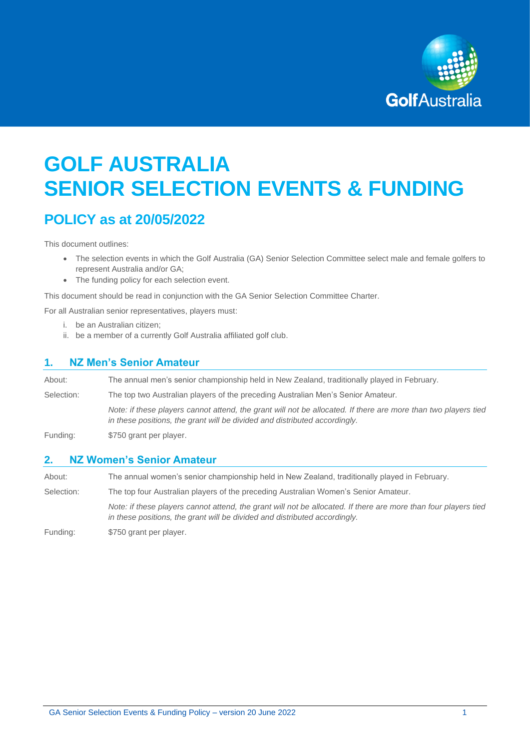

# **GOLF AUSTRALIA SENIOR SELECTION EVENTS & FUNDING**

## **POLICY as at 20/05/2022**

This document outlines:

- The selection events in which the Golf Australia (GA) Senior Selection Committee select male and female golfers to represent Australia and/or GA;
- The funding policy for each selection event.

This document should be read in conjunction with the GA Senior Selection Committee Charter.

For all Australian senior representatives, players must:

- i. be an Australian citizen;
- ii. be a member of a currently Golf Australia affiliated golf club.

## **1. NZ Men's Senior Amateur**

| About:     | The annual men's senior championship held in New Zealand, traditionally played in February.                                                                                                  |
|------------|----------------------------------------------------------------------------------------------------------------------------------------------------------------------------------------------|
| Selection: | The top two Australian players of the preceding Australian Men's Senior Amateur.                                                                                                             |
|            | Note: if these players cannot attend, the grant will not be allocated. If there are more than two players tied<br>in these positions, the grant will be divided and distributed accordingly. |
| Funding:   | \$750 grant per player.                                                                                                                                                                      |

## **2. NZ Women's Senior Amateur**

About: The annual women's senior championship held in New Zealand, traditionally played in February. Selection: The top four Australian players of the preceding Australian Women's Senior Amateur. *Note: if these players cannot attend, the grant will not be allocated. If there are more than four players tied in these positions, the grant will be divided and distributed accordingly.* 

Funding: \$750 grant per player.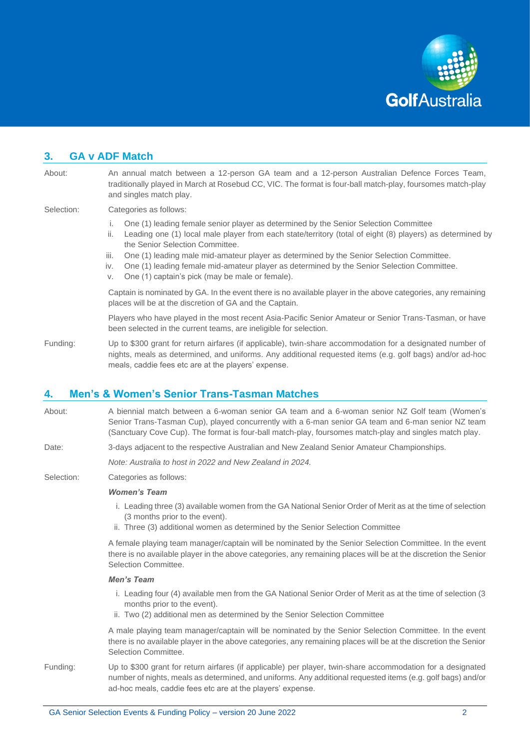

## **3. GA v ADF Match**  About: An annual match between a 12-person GA team and a 12-person Australian Defence Forces Team, traditionally played in March at Rosebud CC, VIC. The format is four-ball match-play, foursomes match-play and singles match play. Selection: Categories as follows: i. One (1) leading female senior player as determined by the Senior Selection Committee ii. Leading one (1) local male player from each state/territory (total of eight (8) players) as determined by the Senior Selection Committee. iii. One (1) leading male mid-amateur player as determined by the Senior Selection Committee. iv. One (1) leading female mid-amateur player as determined by the Senior Selection Committee. v. One (1) captain's pick (may be male or female). Captain is nominated by GA. In the event there is no available player in the above categories, any remaining places will be at the discretion of GA and the Captain. Players who have played in the most recent Asia-Pacific Senior Amateur or Senior Trans-Tasman, or have been selected in the current teams, are ineligible for selection. Funding: Up to \$300 grant for return airfares (if applicable), twin-share accommodation for a designated number of nights, meals as determined, and uniforms. Any additional requested items (e.g. golf bags) and/or ad-hoc meals, caddie fees etc are at the players' expense.

## **4. Men's & Women's Senior Trans-Tasman Matches**

- About: A biennial match between a 6-woman senior GA team and a 6-woman senior NZ Golf team (Women's Senior Trans-Tasman Cup), played concurrently with a 6-man senior GA team and 6-man senior NZ team (Sanctuary Cove Cup). The format is four-ball match-play, foursomes match-play and singles match play.
- Date: 3-days adjacent to the respective Australian and New Zealand Senior Amateur Championships.

*Note: Australia to host in 2022 and New Zealand in 2024.* 

Selection: Categories as follows:

#### *Women's Team*

- i. Leading three (3) available women from the GA National Senior Order of Merit as at the time of selection (3 months prior to the event).
- ii. Three (3) additional women as determined by the Senior Selection Committee

A female playing team manager/captain will be nominated by the Senior Selection Committee. In the event there is no available player in the above categories, any remaining places will be at the discretion the Senior Selection Committee.

#### *Men's Team*

- i. Leading four (4) available men from the GA National Senior Order of Merit as at the time of selection (3 months prior to the event).
- ii. Two (2) additional men as determined by the Senior Selection Committee

A male playing team manager/captain will be nominated by the Senior Selection Committee. In the event there is no available player in the above categories, any remaining places will be at the discretion the Senior Selection Committee.

Funding: Up to \$300 grant for return airfares (if applicable) per player, twin-share accommodation for a designated number of nights, meals as determined, and uniforms. Any additional requested items (e.g. golf bags) and/or ad-hoc meals, caddie fees etc are at the players' expense.